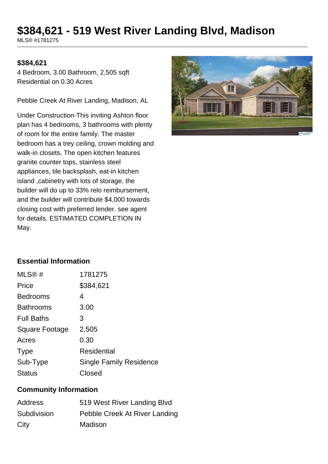# **\$384,621 - 519 West River Landing Blvd, Madison**

MLS® #1781275

#### **\$384,621**

4 Bedroom, 3.00 Bathroom, 2,505 sqft Residential on 0.30 Acres

Pebble Creek At River Landing, Madison, AL

Under Construction-This inviting Ashton floor plan has 4 bedrooms, 3 bathrooms with plenty of room for the entire family. The master bedroom has a trey ceiling, crown molding and walk-in closets. The open kitchen features granite counter tops, stainless steel appliances, tile backsplash, eat-in kitchen island ,cabinetry with lots of storage. the builder will do up to 33% relo reimbursement, and the builder will contribute \$4,000 towards closing cost with preferred lender. see agent for details. ESTIMATED COMPLETION IN May.



### **Essential Information**

| MLS@#                 | 1781275                        |
|-----------------------|--------------------------------|
| Price                 | \$384,621                      |
| <b>Bedrooms</b>       | 4                              |
| <b>Bathrooms</b>      | 3.00                           |
| <b>Full Baths</b>     | З                              |
| <b>Square Footage</b> | 2,505                          |
| Acres                 | 0.30                           |
| <b>Type</b>           | Residential                    |
| Sub-Type              | <b>Single Family Residence</b> |
| <b>Status</b>         | Closed                         |

#### **Community Information**

| Address     | 519 West River Landing Blvd   |
|-------------|-------------------------------|
| Subdivision | Pebble Creek At River Landing |
| City        | Madison                       |